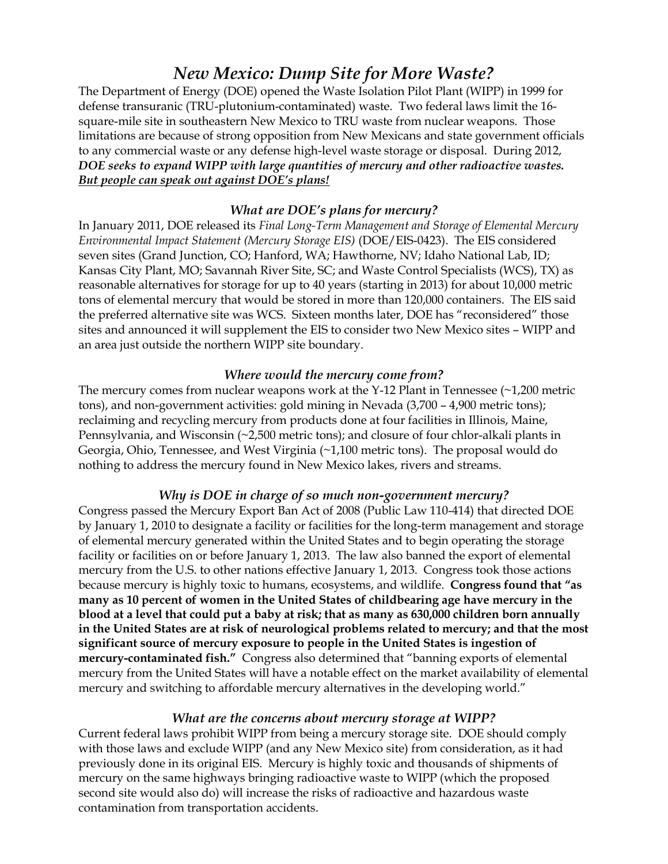# *New Mexico: Dump Site for More Waste?*

The Department of Energy (DOE) opened the Waste Isolation Pilot Plant (WIPP) in 1999 for defense transuranic (TRU-plutonium-contaminated) waste. Two federal laws limit the 16 square-mile site in southeastern New Mexico to TRU waste from nuclear weapons. Those limitations are because of strong opposition from New Mexicans and state government officials to any commercial waste or any defense high-level waste storage or disposal. During 2012, *DOE seeks to expand WIPP with large quantities of mercury and other radioactive wastes. But people can speak out against DOE's plans!*

# *What are DOE's plans for mercury?*

In January 2011, DOE released its *Final Long-Term Management and Storage of Elemental Mercury Environmental Impact Statement (Mercury Storage EIS)* (DOE/EIS-0423). The EIS considered seven sites (Grand Junction, CO; Hanford, WA; Hawthorne, NV; Idaho National Lab, ID; Kansas City Plant, MO; Savannah River Site, SC; and Waste Control Specialists (WCS), TX) as reasonable alternatives for storage for up to 40 years (starting in 2013) for about 10,000 metric tons of elemental mercury that would be stored in more than 120,000 containers. The EIS said the preferred alternative site was WCS. Sixteen months later, DOE has "reconsidered" those sites and announced it will supplement the EIS to consider two New Mexico sites – WIPP and an area just outside the northern WIPP site boundary.

# *Where would the mercury come from?*

The mercury comes from nuclear weapons work at the Y-12 Plant in Tennessee  $(\sim 1,200$  metric tons), and non-government activities: gold mining in Nevada (3,700 – 4,900 metric tons); reclaiming and recycling mercury from products done at four facilities in Illinois, Maine, Pennsylvania, and Wisconsin (~2,500 metric tons); and closure of four chlor-alkali plants in Georgia, Ohio, Tennessee, and West Virginia (~1,100 metric tons). The proposal would do nothing to address the mercury found in New Mexico lakes, rivers and streams.

# *Why is DOE in charge of so much non-government mercury?*

Congress passed the Mercury Export Ban Act of 2008 (Public Law 110-414) that directed DOE by January 1, 2010 to designate a facility or facilities for the long-term management and storage of elemental mercury generated within the United States and to begin operating the storage facility or facilities on or before January 1, 2013. The law also banned the export of elemental mercury from the U.S. to other nations effective January 1, 2013. Congress took those actions because mercury is highly toxic to humans, ecosystems, and wildlife. **Congress found that "as many as 10 percent of women in the United States of childbearing age have mercury in the blood at a level that could put a baby at risk; that as many as 630,000 children born annually in the United States are at risk of neurological problems related to mercury; and that the most significant source of mercury exposure to people in the United States is ingestion of mercury-contaminated fish."** Congress also determined that "banning exports of elemental mercury from the United States will have a notable effect on the market availability of elemental mercury and switching to affordable mercury alternatives in the developing world."

# *What are the concerns about mercury storage at WIPP?*

Current federal laws prohibit WIPP from being a mercury storage site. DOE should comply with those laws and exclude WIPP (and any New Mexico site) from consideration, as it had previously done in its original EIS. Mercury is highly toxic and thousands of shipments of mercury on the same highways bringing radioactive waste to WIPP (which the proposed second site would also do) will increase the risks of radioactive and hazardous waste contamination from transportation accidents.